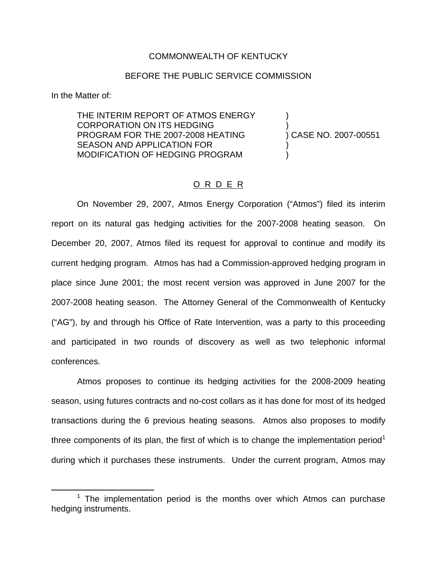## COMMONWEALTH OF KENTUCKY

## BEFORE THE PUBLIC SERVICE COMMISSION

In the Matter of:

THE INTERIM REPORT OF ATMOS ENERGY CORPORATION ON ITS HEDGING PROGRAM FOR THE 2007-2008 HEATING SEASON AND APPLICATION FOR MODIFICATION OF HEDGING PROGRAM

) ) CASE NO. 2007-00551

)

) )

# O R D E R

On November 29, 2007, Atmos Energy Corporation ("Atmos") filed its interim report on its natural gas hedging activities for the 2007-2008 heating season. On December 20, 2007, Atmos filed its request for approval to continue and modify its current hedging program. Atmos has had a Commission-approved hedging program in place since June 2001; the most recent version was approved in June 2007 for the 2007-2008 heating season. The Attorney General of the Commonwealth of Kentucky ("AG"), by and through his Office of Rate Intervention, was a party to this proceeding and participated in two rounds of discovery as well as two telephonic informal conferences.

Atmos proposes to continue its hedging activities for the 2008-2009 heating season, using futures contracts and no-cost collars as it has done for most of its hedged transactions during the 6 previous heating seasons. Atmos also proposes to modify three components of its plan, the first of which is to change the implementation period<sup>1</sup> during which it purchases these instruments. Under the current program, Atmos may

 $1$  The implementation period is the months over which Atmos can purchase hedging instruments.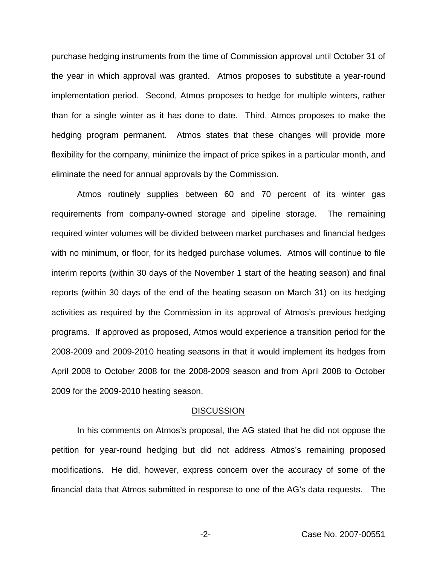purchase hedging instruments from the time of Commission approval until October 31 of the year in which approval was granted. Atmos proposes to substitute a year-round implementation period. Second, Atmos proposes to hedge for multiple winters, rather than for a single winter as it has done to date. Third, Atmos proposes to make the hedging program permanent. Atmos states that these changes will provide more flexibility for the company, minimize the impact of price spikes in a particular month, and eliminate the need for annual approvals by the Commission.

Atmos routinely supplies between 60 and 70 percent of its winter gas requirements from company-owned storage and pipeline storage. The remaining required winter volumes will be divided between market purchases and financial hedges with no minimum, or floor, for its hedged purchase volumes. Atmos will continue to file interim reports (within 30 days of the November 1 start of the heating season) and final reports (within 30 days of the end of the heating season on March 31) on its hedging activities as required by the Commission in its approval of Atmos's previous hedging programs. If approved as proposed, Atmos would experience a transition period for the 2008-2009 and 2009-2010 heating seasons in that it would implement its hedges from April 2008 to October 2008 for the 2008-2009 season and from April 2008 to October 2009 for the 2009-2010 heating season.

#### DISCUSSION

In his comments on Atmos's proposal, the AG stated that he did not oppose the petition for year-round hedging but did not address Atmos's remaining proposed modifications. He did, however, express concern over the accuracy of some of the financial data that Atmos submitted in response to one of the AG's data requests. The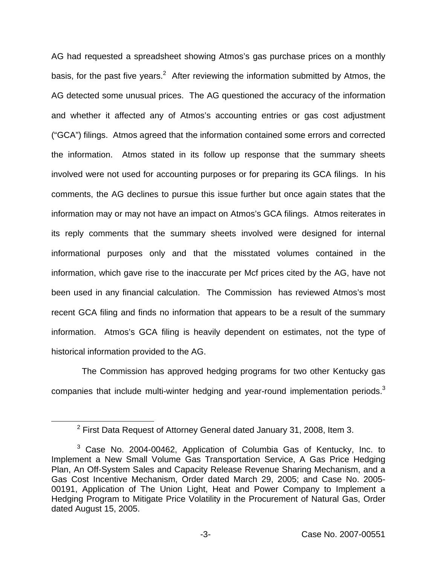AG had requested a spreadsheet showing Atmos's gas purchase prices on a monthly basis, for the past five years. $2$  After reviewing the information submitted by Atmos, the AG detected some unusual prices. The AG questioned the accuracy of the information and whether it affected any of Atmos's accounting entries or gas cost adjustment ("GCA") filings. Atmos agreed that the information contained some errors and corrected the information. Atmos stated in its follow up response that the summary sheets involved were not used for accounting purposes or for preparing its GCA filings. In his comments, the AG declines to pursue this issue further but once again states that the information may or may not have an impact on Atmos's GCA filings. Atmos reiterates in its reply comments that the summary sheets involved were designed for internal informational purposes only and that the misstated volumes contained in the information, which gave rise to the inaccurate per Mcf prices cited by the AG, have not been used in any financial calculation. The Commission has reviewed Atmos's most recent GCA filing and finds no information that appears to be a result of the summary information. Atmos's GCA filing is heavily dependent on estimates, not the type of historical information provided to the AG.

The Commission has approved hedging programs for two other Kentucky gas companies that include multi-winter hedging and year-round implementation periods.<sup>3</sup>

<sup>2</sup> First Data Request of Attorney General dated January 31, 2008, Item 3.

<sup>&</sup>lt;sup>3</sup> Case No. 2004-00462, Application of Columbia Gas of Kentucky, Inc. to Implement a New Small Volume Gas Transportation Service, A Gas Price Hedging Plan, An Off-System Sales and Capacity Release Revenue Sharing Mechanism, and a Gas Cost Incentive Mechanism, Order dated March 29, 2005; and Case No. 2005- 00191, Application of The Union Light, Heat and Power Company to Implement a Hedging Program to Mitigate Price Volatility in the Procurement of Natural Gas, Order dated August 15, 2005.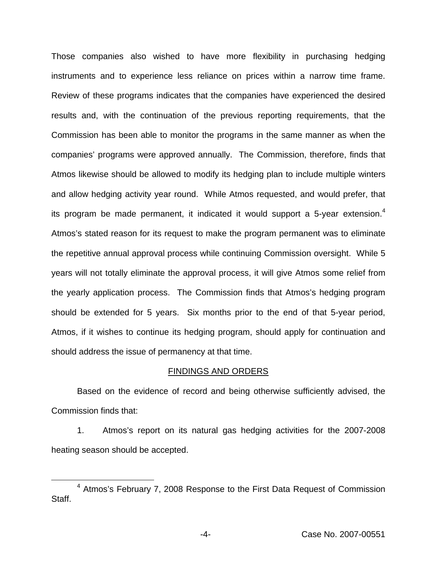Those companies also wished to have more flexibility in purchasing hedging instruments and to experience less reliance on prices within a narrow time frame. Review of these programs indicates that the companies have experienced the desired results and, with the continuation of the previous reporting requirements, that the Commission has been able to monitor the programs in the same manner as when the companies' programs were approved annually. The Commission, therefore, finds that Atmos likewise should be allowed to modify its hedging plan to include multiple winters and allow hedging activity year round. While Atmos requested, and would prefer, that its program be made permanent, it indicated it would support a 5-year extension.<sup>4</sup> Atmos's stated reason for its request to make the program permanent was to eliminate the repetitive annual approval process while continuing Commission oversight. While 5 years will not totally eliminate the approval process, it will give Atmos some relief from the yearly application process. The Commission finds that Atmos's hedging program should be extended for 5 years. Six months prior to the end of that 5-year period, Atmos, if it wishes to continue its hedging program, should apply for continuation and should address the issue of permanency at that time.

## FINDINGS AND ORDERS

Based on the evidence of record and being otherwise sufficiently advised, the Commission finds that:

1. Atmos's report on its natural gas hedging activities for the 2007-2008 heating season should be accepted.

<sup>4</sup> Atmos's February 7, 2008 Response to the First Data Request of Commission Staff.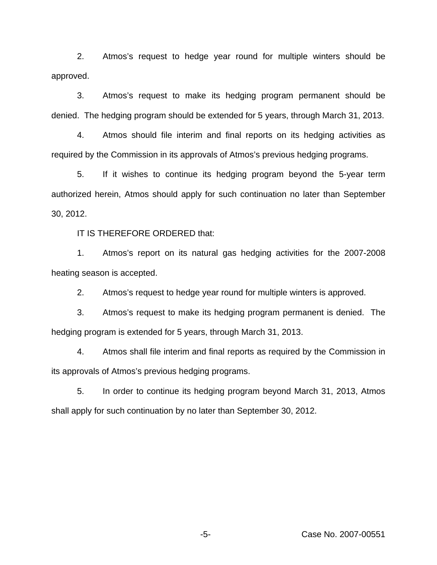2. Atmos's request to hedge year round for multiple winters should be approved.

3. Atmos's request to make its hedging program permanent should be denied. The hedging program should be extended for 5 years, through March 31, 2013.

4. Atmos should file interim and final reports on its hedging activities as required by the Commission in its approvals of Atmos's previous hedging programs.

5. If it wishes to continue its hedging program beyond the 5-year term authorized herein, Atmos should apply for such continuation no later than September 30, 2012.

IT IS THEREFORE ORDERED that:

1. Atmos's report on its natural gas hedging activities for the 2007-2008 heating season is accepted.

2. Atmos's request to hedge year round for multiple winters is approved.

3. Atmos's request to make its hedging program permanent is denied. The hedging program is extended for 5 years, through March 31, 2013.

4. Atmos shall file interim and final reports as required by the Commission in its approvals of Atmos's previous hedging programs.

5. In order to continue its hedging program beyond March 31, 2013, Atmos shall apply for such continuation by no later than September 30, 2012.

-5- Case No. 2007-00551